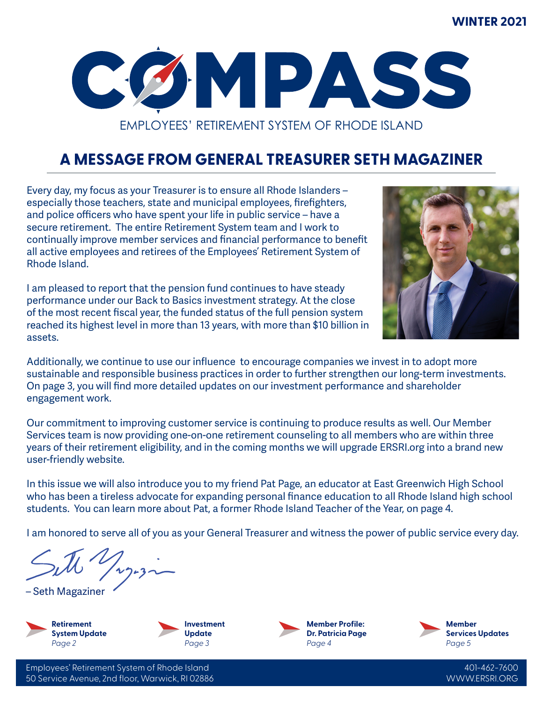#### **WINTER 2021**



# **A MESSAGE FROM GENERAL TREASURER SETH MAGAZINER**

Every day, my focus as your Treasurer is to ensure all Rhode Islanders – especially those teachers, state and municipal employees, firefighters, and police officers who have spent your life in public service – have a secure retirement. The entire Retirement System team and I work to continually improve member services and financial performance to benefit all active employees and retirees of the Employees' Retirement System of Rhode Island.

I am pleased to report that the pension fund continues to have steady performance under our Back to Basics investment strategy. At the close of the most recent fiscal year, the funded status of the full pension system reached its highest level in more than 13 years, with more than \$10 billion in assets.



Additionally, we continue to use our influence to encourage companies we invest in to adopt more sustainable and responsible business practices in order to further strengthen our long-term investments. On page 3, you will find more detailed updates on our investment performance and shareholder engagement work.

Our commitment to improving customer service is continuing to produce results as well. Our Member Services team is now providing one-on-one retirement counseling to all members who are within three years of their retirement eligibility, and in the coming months we will upgrade ERSRI.org into a brand new user-friendly website.

In this issue we will also introduce you to my friend Pat Page, an educator at East Greenwich High School who has been a tireless advocate for expanding personal finance education to all Rhode Island high school students. You can learn more about Pat, a former Rhode Island Teacher of the Year, on page 4.

I am honored to serve all of you as your General Treasurer and witness the power of public service every day.

– Seth Magaziner







**Member Services Updates** *Page 5*

Employees' Retirement System of Rhode Island 50 Service Avenue, 2nd floor, Warwick, RI 02886

401-462-7600 WWW.ERSRI.ORG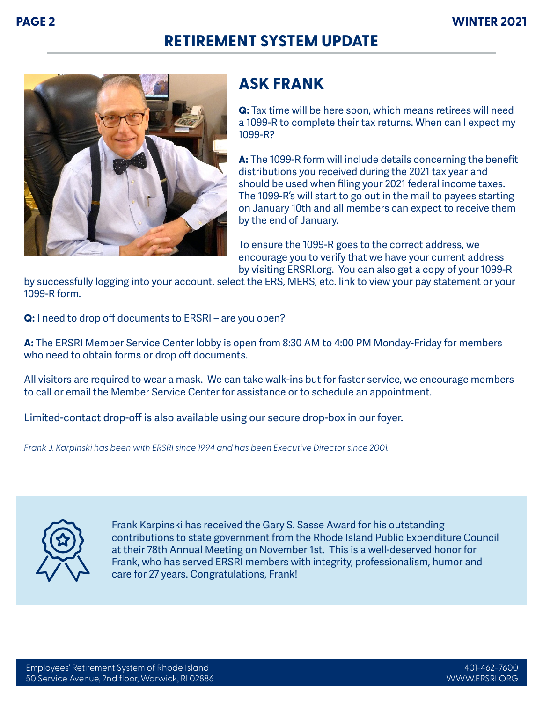### **RETIREMENT SYSTEM UPDATE**



#### **ASK FRANK**

**Q:** Tax time will be here soon, which means retirees will need a 1099-R to complete their tax returns. When can I expect my 1099-R?

**A:** The 1099-R form will include details concerning the benefit distributions you received during the 2021 tax year and should be used when filing your 2021 federal income taxes. The 1099-R's will start to go out in the mail to payees starting on January 10th and all members can expect to receive them by the end of January.

To ensure the 1099-R goes to the correct address, we encourage you to verify that we have your current address by visiting ERSRI.org. You can also get a copy of your 1099-R

by successfully logging into your account, select the ERS, MERS, etc. link to view your pay statement or your 1099-R form.

**Q:** I need to drop off documents to ERSRI – are you open?

**A:** The ERSRI Member Service Center lobby is open from 8:30 AM to 4:00 PM Monday-Friday for members who need to obtain forms or drop off documents.

All visitors are required to wear a mask. We can take walk-ins but for faster service, we encourage members to call or email the Member Service Center for assistance or to schedule an appointment.

Limited-contact drop-off is also available using our secure drop-box in our foyer.

*Frank J. Karpinski has been with ERSRI since 1994 and has been Executive Director since 2001.*



Frank Karpinski has received the Gary S. Sasse Award for his outstanding contributions to state government from the Rhode Island Public Expenditure Council at their 78th Annual Meeting on November 1st. This is a well-deserved honor for Frank, who has served ERSRI members with integrity, professionalism, humor and care for 27 years. Congratulations, Frank!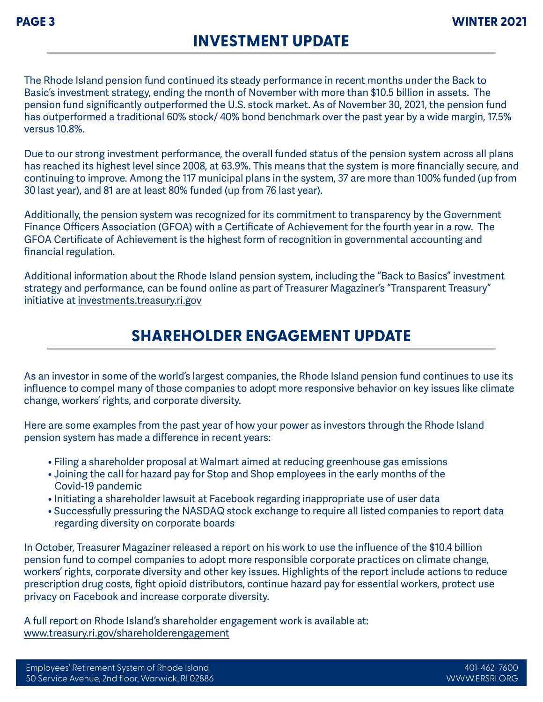#### **INVESTMENT UPDATE**

The Rhode Island pension fund continued its steady performance in recent months under the Back to Basic's investment strategy, ending the month of November with more than \$10.5 billion in assets. The pension fund significantly outperformed the U.S. stock market. As of November 30, 2021, the pension fund has outperformed a traditional 60% stock/ 40% bond benchmark over the past year by a wide margin, 17.5% versus 10.8%.

Due to our strong investment performance, the overall funded status of the pension system across all plans has reached its highest level since 2008, at 63.9%. This means that the system is more financially secure, and continuing to improve. Among the 117 municipal plans in the system, 37 are more than 100% funded (up from 30 last year), and 81 are at least 80% funded (up from 76 last year).

Additionally, the pension system was recognized for its commitment to transparency by the Government Finance Officers Association (GFOA) with a Certificate of Achievement for the fourth year in a row. The GFOA Certificate of Achievement is the highest form of recognition in governmental accounting and financial regulation.

Additional information about the Rhode Island pension system, including the "Back to Basics" investment strategy and performance, can be found online as part of Treasurer Magaziner's "Transparent Treasury" initiative at investments.treasury.ri.gov

#### **SHAREHOLDER ENGAGEMENT UPDATE**

As an investor in some of the world's largest companies, the Rhode Island pension fund continues to use its influence to compel many of those companies to adopt more responsive behavior on key issues like climate change, workers' rights, and corporate diversity.

Here are some examples from the past year of how your power as investors through the Rhode Island pension system has made a difference in recent years:

- Filing a shareholder proposal at Walmart aimed at reducing greenhouse gas emissions
- Joining the call for hazard pay for Stop and Shop employees in the early months of the Covid-19 pandemic
- Initiating a shareholder lawsuit at Facebook regarding inappropriate use of user data
- Successfully pressuring the NASDAQ stock exchange to require all listed companies to report data regarding diversity on corporate boards

In October, Treasurer Magaziner released a report on his work to use the influence of the \$10.4 billion pension fund to compel companies to adopt more responsible corporate practices on climate change, workers' rights, corporate diversity and other key issues. Highlights of the report include actions to reduce prescription drug costs, fight opioid distributors, continue hazard pay for essential workers, protect use privacy on Facebook and increase corporate diversity.

A full report on Rhode Island's shareholder engagement work is available at: www.treasury.ri.gov/shareholderengagement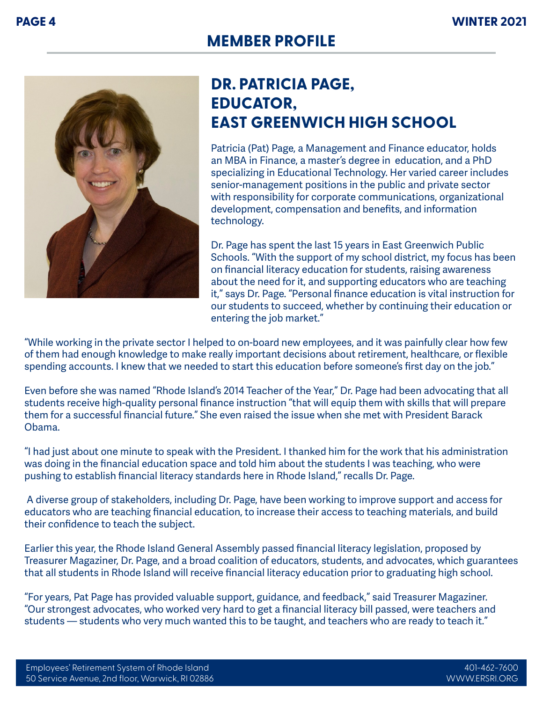

## **DR. PATRICIA PAGE, EDUCATOR, EAST GREENWICH HIGH SCHOOL**

Patricia (Pat) Page, a Management and Finance educator, holds an MBA in Finance, a master's degree in education, and a PhD specializing in Educational Technology. Her varied career includes senior-management positions in the public and private sector with responsibility for corporate communications, organizational development, compensation and benefits, and information technology.

Dr. Page has spent the last 15 years in East Greenwich Public Schools. "With the support of my school district, my focus has been on financial literacy education for students, raising awareness about the need for it, and supporting educators who are teaching it," says Dr. Page. "Personal finance education is vital instruction for our students to succeed, whether by continuing their education or entering the job market."

"While working in the private sector I helped to on-board new employees, and it was painfully clear how few of them had enough knowledge to make really important decisions about retirement, healthcare, or flexible spending accounts. I knew that we needed to start this education before someone's first day on the job."

Even before she was named "Rhode Island's 2014 Teacher of the Year," Dr. Page had been advocating that all students receive high-quality personal finance instruction "that will equip them with skills that will prepare them for a successful financial future." She even raised the issue when she met with President Barack Obama.

"I had just about one minute to speak with the President. I thanked him for the work that his administration was doing in the financial education space and told him about the students I was teaching, who were pushing to establish financial literacy standards here in Rhode Island," recalls Dr. Page.

 A diverse group of stakeholders, including Dr. Page, have been working to improve support and access for educators who are teaching financial education, to increase their access to teaching materials, and build their confidence to teach the subject.

Earlier this year, the Rhode Island General Assembly passed financial literacy legislation, proposed by Treasurer Magaziner, Dr. Page, and a broad coalition of educators, students, and advocates, which guarantees that all students in Rhode Island will receive financial literacy education prior to graduating high school.

"For years, Pat Page has provided valuable support, guidance, and feedback," said Treasurer Magaziner. "Our strongest advocates, who worked very hard to get a financial literacy bill passed, were teachers and students — students who very much wanted this to be taught, and teachers who are ready to teach it."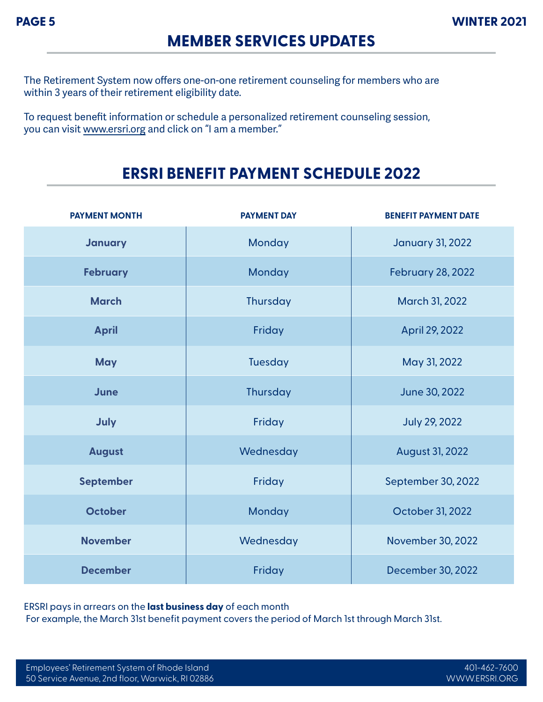#### **MEMBER SERVICES UPDATES**

The Retirement System now offers one-on-one retirement counseling for members who are within 3 years of their retirement eligibility date.

To request benefit information or schedule a personalized retirement counseling session, you can visit www.ersri.org and click on "I am a member."

#### **ERSRI BENEFIT PAYMENT SCHEDULE 2022**

| <b>PAYMENT MONTH</b> | <b>PAYMENT DAY</b> | <b>BENEFIT PAYMENT DATE</b> |
|----------------------|--------------------|-----------------------------|
| <b>January</b>       | Monday             | <b>January 31, 2022</b>     |
| <b>February</b>      | Monday             | <b>February 28, 2022</b>    |
| <b>March</b>         | <b>Thursday</b>    | March 31, 2022              |
| <b>April</b>         | Friday             | April 29, 2022              |
| <b>May</b>           | <b>Tuesday</b>     | May 31, 2022                |
| June                 | Thursday           | June 30, 2022               |
| July                 | Friday             | <b>July 29, 2022</b>        |
| <b>August</b>        | Wednesday          | <b>August 31, 2022</b>      |
| <b>September</b>     | Friday             | September 30, 2022          |
| <b>October</b>       | Monday             | October 31, 2022            |
| <b>November</b>      | Wednesday          | November 30, 2022           |
| <b>December</b>      | Friday             | December 30, 2022           |

ERSRI pays in arrears on the **last business day** of each month For example, the March 31st benefit payment covers the period of March 1st through March 31st.